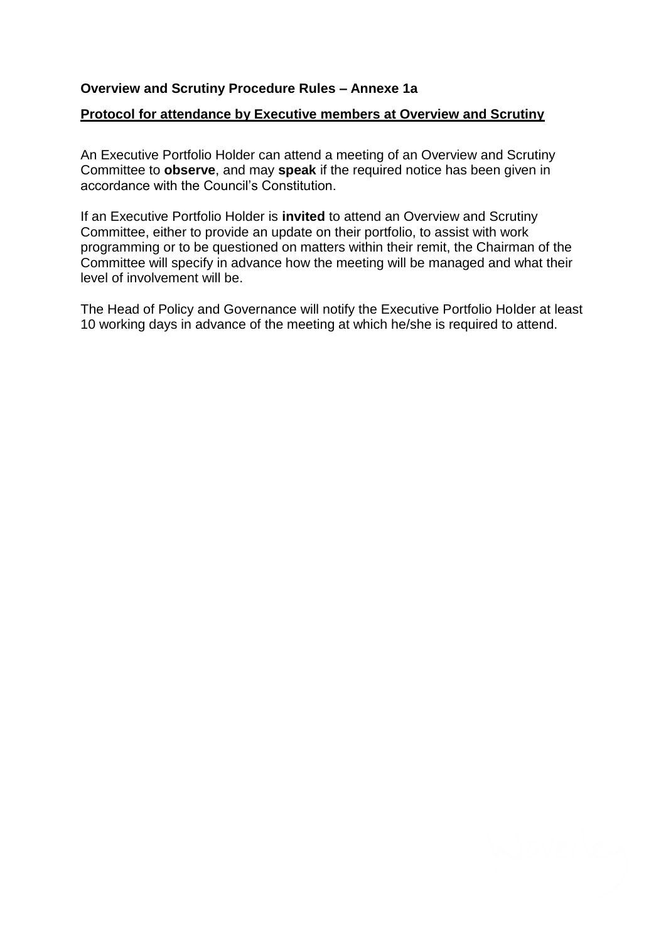## **Overview and Scrutiny Procedure Rules – Annexe 1a**

## **Protocol for attendance by Executive members at Overview and Scrutiny**

An Executive Portfolio Holder can attend a meeting of an Overview and Scrutiny Committee to **observe**, and may **speak** if the required notice has been given in accordance with the Council's Constitution.

If an Executive Portfolio Holder is **invited** to attend an Overview and Scrutiny Committee, either to provide an update on their portfolio, to assist with work programming or to be questioned on matters within their remit, the Chairman of the Committee will specify in advance how the meeting will be managed and what their level of involvement will be.

The Head of Policy and Governance will notify the Executive Portfolio Holder at least 10 working days in advance of the meeting at which he/she is required to attend.